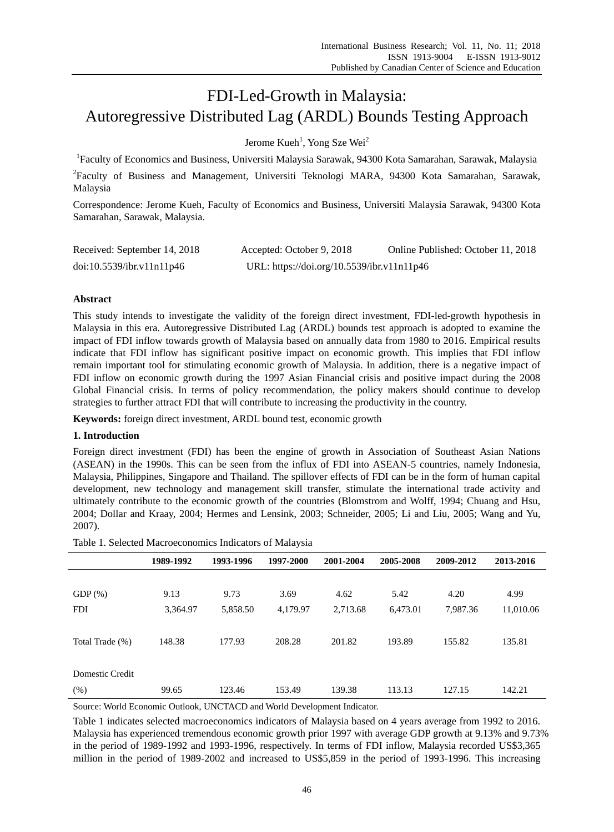# FDI-Led-Growth in Malaysia: Autoregressive Distributed Lag (ARDL) Bounds Testing Approach

Jerome Kueh<sup>1</sup>, Yong Sze Wei<sup>2</sup>

<sup>1</sup>Faculty of Economics and Business, Universiti Malaysia Sarawak, 94300 Kota Samarahan, Sarawak, Malaysia <sup>2</sup>Faculty of Business and Management, Universiti Teknologi MARA, 94300 Kota Samarahan, Sarawak, Malaysia

Correspondence: Jerome Kueh, Faculty of Economics and Business, Universiti Malaysia Sarawak, 94300 Kota Samarahan, Sarawak, Malaysia.

| Received: September 14, 2018 | Accepted: October 9, 2018                  | Online Published: October 11, 2018 |
|------------------------------|--------------------------------------------|------------------------------------|
| doi:10.5539/ibr.v11n11p46    | URL: https://doi.org/10.5539/ibr.v11n11p46 |                                    |

## **Abstract**

This study intends to investigate the validity of the foreign direct investment, FDI-led-growth hypothesis in Malaysia in this era. Autoregressive Distributed Lag (ARDL) bounds test approach is adopted to examine the impact of FDI inflow towards growth of Malaysia based on annually data from 1980 to 2016. Empirical results indicate that FDI inflow has significant positive impact on economic growth. This implies that FDI inflow remain important tool for stimulating economic growth of Malaysia. In addition, there is a negative impact of FDI inflow on economic growth during the 1997 Asian Financial crisis and positive impact during the 2008 Global Financial crisis. In terms of policy recommendation, the policy makers should continue to develop strategies to further attract FDI that will contribute to increasing the productivity in the country.

**Keywords:** foreign direct investment, ARDL bound test, economic growth

## **1. Introduction**

Foreign direct investment (FDI) has been the engine of growth in Association of Southeast Asian Nations (ASEAN) in the 1990s. This can be seen from the influx of FDI into ASEAN-5 countries, namely Indonesia, Malaysia, Philippines, Singapore and Thailand. The spillover effects of FDI can be in the form of human capital development, new technology and management skill transfer, stimulate the international trade activity and ultimately contribute to the economic growth of the countries (Blomstrom and Wolff, 1994; Chuang and Hsu, 2004; Dollar and Kraay, 2004; Hermes and Lensink, 2003; Schneider, 2005; Li and Liu, 2005; Wang and Yu, 2007).

| 180.10 11 Deletect 1:18010000110111100 11181081010 01 1:18118; più |           |           |           |           |           |           |           |
|--------------------------------------------------------------------|-----------|-----------|-----------|-----------|-----------|-----------|-----------|
|                                                                    | 1989-1992 | 1993-1996 | 1997-2000 | 2001-2004 | 2005-2008 | 2009-2012 | 2013-2016 |
|                                                                    |           |           |           |           |           |           |           |
| $GDP(\%)$                                                          | 9.13      | 9.73      | 3.69      | 4.62      | 5.42      | 4.20      | 4.99      |
| <b>FDI</b>                                                         | 3,364.97  | 5,858.50  | 4,179.97  | 2,713.68  | 6,473.01  | 7,987.36  | 11,010.06 |
|                                                                    |           |           |           |           |           |           |           |
| Total Trade (%)                                                    | 148.38    | 177.93    | 208.28    | 201.82    | 193.89    | 155.82    | 135.81    |
|                                                                    |           |           |           |           |           |           |           |
| Domestic Credit                                                    |           |           |           |           |           |           |           |
| (% )                                                               | 99.65     | 123.46    | 153.49    | 139.38    | 113.13    | 127.15    | 142.21    |

Table 1. Selected Macroeconomics Indicators of Malaysia

Source: World Economic Outlook, UNCTACD and World Development Indicator.

Table 1 indicates selected macroeconomics indicators of Malaysia based on 4 years average from 1992 to 2016. Malaysia has experienced tremendous economic growth prior 1997 with average GDP growth at 9.13% and 9.73% in the period of 1989-1992 and 1993-1996, respectively. In terms of FDI inflow, Malaysia recorded US\$3,365 million in the period of 1989-2002 and increased to US\$5,859 in the period of 1993-1996. This increasing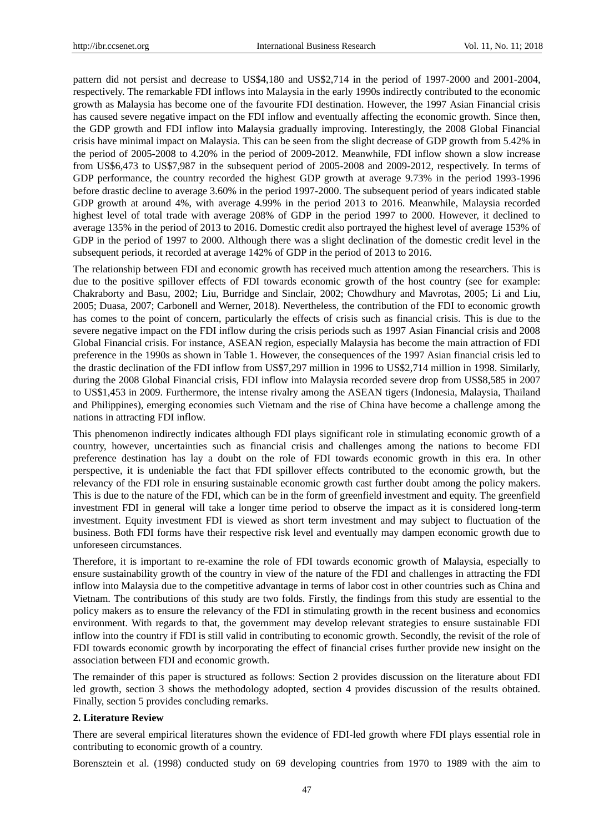pattern did not persist and decrease to US\$4,180 and US\$2,714 in the period of 1997-2000 and 2001-2004, respectively. The remarkable FDI inflows into Malaysia in the early 1990s indirectly contributed to the economic growth as Malaysia has become one of the favourite FDI destination. However, the 1997 Asian Financial crisis has caused severe negative impact on the FDI inflow and eventually affecting the economic growth. Since then, the GDP growth and FDI inflow into Malaysia gradually improving. Interestingly, the 2008 Global Financial crisis have minimal impact on Malaysia. This can be seen from the slight decrease of GDP growth from 5.42% in the period of 2005-2008 to 4.20% in the period of 2009-2012. Meanwhile, FDI inflow shown a slow increase from US\$6,473 to US\$7,987 in the subsequent period of 2005-2008 and 2009-2012, respectively. In terms of GDP performance, the country recorded the highest GDP growth at average 9.73% in the period 1993-1996 before drastic decline to average 3.60% in the period 1997-2000. The subsequent period of years indicated stable GDP growth at around 4%, with average 4.99% in the period 2013 to 2016. Meanwhile, Malaysia recorded highest level of total trade with average 208% of GDP in the period 1997 to 2000. However, it declined to average 135% in the period of 2013 to 2016. Domestic credit also portrayed the highest level of average 153% of GDP in the period of 1997 to 2000. Although there was a slight declination of the domestic credit level in the subsequent periods, it recorded at average 142% of GDP in the period of 2013 to 2016.

The relationship between FDI and economic growth has received much attention among the researchers. This is due to the positive spillover effects of FDI towards economic growth of the host country (see for example: Chakraborty and Basu, 2002; Liu, Burridge and Sinclair, 2002; Chowdhury and Mavrotas, 2005; Li and Liu, 2005; Duasa, 2007; Carbonell and Werner, 2018). Nevertheless, the contribution of the FDI to economic growth has comes to the point of concern, particularly the effects of crisis such as financial crisis. This is due to the severe negative impact on the FDI inflow during the crisis periods such as 1997 Asian Financial crisis and 2008 Global Financial crisis. For instance, ASEAN region, especially Malaysia has become the main attraction of FDI preference in the 1990s as shown in Table 1. However, the consequences of the 1997 Asian financial crisis led to the drastic declination of the FDI inflow from US\$7,297 million in 1996 to US\$2,714 million in 1998. Similarly, during the 2008 Global Financial crisis, FDI inflow into Malaysia recorded severe drop from US\$8,585 in 2007 to US\$1,453 in 2009. Furthermore, the intense rivalry among the ASEAN tigers (Indonesia, Malaysia, Thailand and Philippines), emerging economies such Vietnam and the rise of China have become a challenge among the nations in attracting FDI inflow.

This phenomenon indirectly indicates although FDI plays significant role in stimulating economic growth of a country, however, uncertainties such as financial crisis and challenges among the nations to become FDI preference destination has lay a doubt on the role of FDI towards economic growth in this era. In other perspective, it is undeniable the fact that FDI spillover effects contributed to the economic growth, but the relevancy of the FDI role in ensuring sustainable economic growth cast further doubt among the policy makers. This is due to the nature of the FDI, which can be in the form of greenfield investment and equity. The greenfield investment FDI in general will take a longer time period to observe the impact as it is considered long-term investment. Equity investment FDI is viewed as short term investment and may subject to fluctuation of the business. Both FDI forms have their respective risk level and eventually may dampen economic growth due to unforeseen circumstances.

Therefore, it is important to re-examine the role of FDI towards economic growth of Malaysia, especially to ensure sustainability growth of the country in view of the nature of the FDI and challenges in attracting the FDI inflow into Malaysia due to the competitive advantage in terms of labor cost in other countries such as China and Vietnam. The contributions of this study are two folds. Firstly, the findings from this study are essential to the policy makers as to ensure the relevancy of the FDI in stimulating growth in the recent business and economics environment. With regards to that, the government may develop relevant strategies to ensure sustainable FDI inflow into the country if FDI is still valid in contributing to economic growth. Secondly, the revisit of the role of FDI towards economic growth by incorporating the effect of financial crises further provide new insight on the association between FDI and economic growth.

The remainder of this paper is structured as follows: Section 2 provides discussion on the literature about FDI led growth, section 3 shows the methodology adopted, section 4 provides discussion of the results obtained. Finally, section 5 provides concluding remarks.

#### **2. Literature Review**

There are several empirical literatures shown the evidence of FDI-led growth where FDI plays essential role in contributing to economic growth of a country.

Borensztein et al. (1998) conducted study on 69 developing countries from 1970 to 1989 with the aim to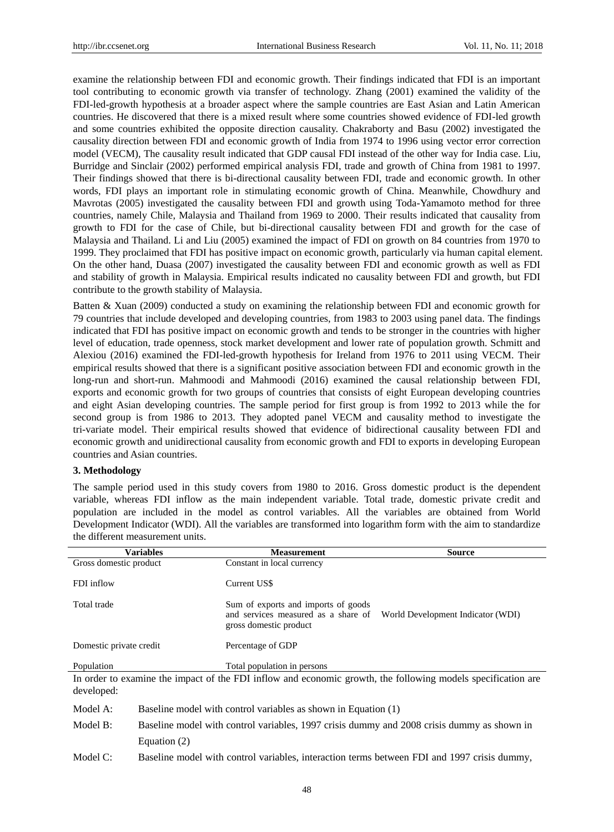examine the relationship between FDI and economic growth. Their findings indicated that FDI is an important tool contributing to economic growth via transfer of technology. Zhang (2001) examined the validity of the FDI-led-growth hypothesis at a broader aspect where the sample countries are East Asian and Latin American countries. He discovered that there is a mixed result where some countries showed evidence of FDI-led growth and some countries exhibited the opposite direction causality. Chakraborty and Basu (2002) investigated the causality direction between FDI and economic growth of India from 1974 to 1996 using vector error correction model (VECM), The causality result indicated that GDP causal FDI instead of the other way for India case. Liu, Burridge and Sinclair (2002) performed empirical analysis FDI, trade and growth of China from 1981 to 1997. Their findings showed that there is bi-directional causality between FDI, trade and economic growth. In other words, FDI plays an important role in stimulating economic growth of China. Meanwhile, Chowdhury and Mavrotas (2005) investigated the causality between FDI and growth using Toda-Yamamoto method for three countries, namely Chile, Malaysia and Thailand from 1969 to 2000. Their results indicated that causality from growth to FDI for the case of Chile, but bi-directional causality between FDI and growth for the case of Malaysia and Thailand. Li and Liu (2005) examined the impact of FDI on growth on 84 countries from 1970 to 1999. They proclaimed that FDI has positive impact on economic growth, particularly via human capital element. On the other hand, Duasa (2007) investigated the causality between FDI and economic growth as well as FDI and stability of growth in Malaysia. Empirical results indicated no causality between FDI and growth, but FDI contribute to the growth stability of Malaysia.

Batten & Xuan (2009) conducted a study on examining the relationship between FDI and economic growth for 79 countries that include developed and developing countries, from 1983 to 2003 using panel data. The findings indicated that FDI has positive impact on economic growth and tends to be stronger in the countries with higher level of education, trade openness, stock market development and lower rate of population growth. Schmitt and Alexiou (2016) examined the FDI-led-growth hypothesis for Ireland from 1976 to 2011 using VECM. Their empirical results showed that there is a significant positive association between FDI and economic growth in the long-run and short-run. Mahmoodi and Mahmoodi (2016) examined the causal relationship between FDI, exports and economic growth for two groups of countries that consists of eight European developing countries and eight Asian developing countries. The sample period for first group is from 1992 to 2013 while the for second group is from 1986 to 2013. They adopted panel VECM and causality method to investigate the tri-variate model. Their empirical results showed that evidence of bidirectional causality between FDI and economic growth and unidirectional causality from economic growth and FDI to exports in developing European countries and Asian countries.

## **3. Methodology**

The sample period used in this study covers from 1980 to 2016. Gross domestic product is the dependent variable, whereas FDI inflow as the main independent variable. Total trade, domestic private credit and population are included in the model as control variables. All the variables are obtained from World Development Indicator (WDI). All the variables are transformed into logarithm form with the aim to standardize the different measurement units.

| Variables               |                                                                                            | <b>Measurement</b>                                                                                   | <b>Source</b>                                                                                                |  |  |  |
|-------------------------|--------------------------------------------------------------------------------------------|------------------------------------------------------------------------------------------------------|--------------------------------------------------------------------------------------------------------------|--|--|--|
| Gross domestic product  |                                                                                            | Constant in local currency                                                                           |                                                                                                              |  |  |  |
| FDI inflow              |                                                                                            | Current US\$                                                                                         |                                                                                                              |  |  |  |
| Total trade             |                                                                                            | Sum of exports and imports of goods<br>and services measured as a share of<br>gross domestic product | World Development Indicator (WDI)                                                                            |  |  |  |
| Domestic private credit |                                                                                            | Percentage of GDP                                                                                    |                                                                                                              |  |  |  |
| Population              |                                                                                            | Total population in persons                                                                          |                                                                                                              |  |  |  |
| developed:              |                                                                                            |                                                                                                      | In order to examine the impact of the FDI inflow and economic growth, the following models specification are |  |  |  |
| Model A:                | Baseline model with control variables as shown in Equation (1)                             |                                                                                                      |                                                                                                              |  |  |  |
| Model B:                | Baseline model with control variables, 1997 crisis dummy and 2008 crisis dummy as shown in |                                                                                                      |                                                                                                              |  |  |  |
|                         | Equation (2)                                                                               |                                                                                                      |                                                                                                              |  |  |  |

Model C: Baseline model with control variables, interaction terms between FDI and 1997 crisis dummy,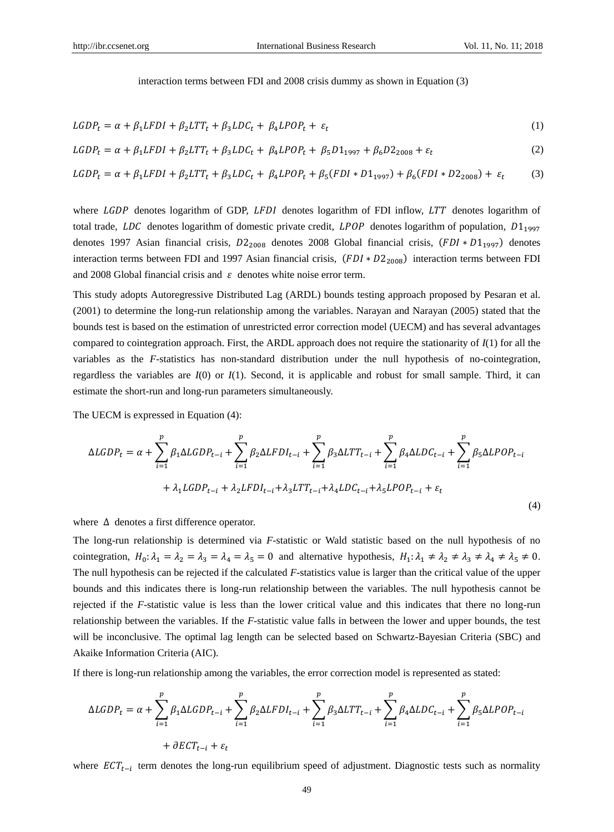#### interaction terms between FDI and 2008 crisis dummy as shown in Equation (3)

$$
LGDP_t = \alpha + \beta_1 LFDI + \beta_2 LTT_t + \beta_3 LDC_t + \beta_4 LPOP_t + \varepsilon_t
$$
\n<sup>(1)</sup>

$$
LGDP_t = \alpha + \beta_1 LFDI + \beta_2 LTT_t + \beta_3 LDC_t + \beta_4 LPOP_t + \beta_5 D1_{1997} + \beta_6 D2_{2008} + \varepsilon_t
$$
 (2)

$$
LGDP_t = \alpha + \beta_1 LFDI + \beta_2 LTT_t + \beta_3 LDC_t + \beta_4 LPOP_t + \beta_5 (FDI * D1_{1997}) + \beta_6 (FDI * D2_{2008}) + \varepsilon_t
$$
 (3)

where  $LGDP$  denotes logarithm of GDP,  $LFDI$  denotes logarithm of FDI inflow,  $LTT$  denotes logarithm of total trade, LDC denotes logarithm of domestic private credit, LPOP denotes logarithm of population,  $D1_{1997}$ denotes 1997 Asian financial crisis,  $D2_{2008}$  denotes 2008 Global financial crisis,  $(FDI * D1_{1997})$  denotes interaction terms between FDI and 1997 Asian financial crisis,  $(FDI * D2<sub>2008</sub>)$  interaction terms between FDI and 2008 Global financial crisis and  $\varepsilon$  denotes white noise error term.

This study adopts Autoregressive Distributed Lag (ARDL) bounds testing approach proposed by Pesaran et al. (2001) to determine the long-run relationship among the variables. Narayan and Narayan (2005) stated that the bounds test is based on the estimation of unrestricted error correction model (UECM) and has several advantages compared to cointegration approach. First, the ARDL approach does not require the stationarity of *I*(1) for all the variables as the *F*-statistics has non-standard distribution under the null hypothesis of no-cointegration, regardless the variables are *I*(0) or *I*(1). Second, it is applicable and robust for small sample. Third, it can estimate the short-run and long-run parameters simultaneously.

The UECM is expressed in Equation (4):

$$
\Delta LGDP_{t} = \alpha + \sum_{i=1}^{p} \beta_{1} \Delta LGDP_{t-i} + \sum_{i=1}^{p} \beta_{2} \Delta LFDI_{t-i} + \sum_{i=1}^{p} \beta_{3} \Delta LTT_{t-i} + \sum_{i=1}^{p} \beta_{4} \Delta LDC_{t-i} + \sum_{i=1}^{p} \beta_{5} \Delta LPOP_{t-i} + \lambda_{1} LGDP_{t-i} + \lambda_{2} LFDI_{t-i} + \lambda_{3} LTT_{t-i} + \lambda_{4} LDC_{t-i} + \lambda_{5} LPOP_{t-i} + \varepsilon_{t}
$$
\n(4)

where ∆ denotes a first difference operator.

The long-run relationship is determined via *F*-statistic or Wald statistic based on the null hypothesis of no cointegration,  $H_0: \lambda_1 = \lambda_2 = \lambda_3 = \lambda_4 = \lambda_5 = 0$  and alternative hypothesis,  $H_1: \lambda_1 \neq \lambda_2 \neq \lambda_3 \neq \lambda_4 \neq \lambda_5 \neq 0$ . The null hypothesis can be rejected if the calculated *F*-statistics value is larger than the critical value of the upper bounds and this indicates there is long-run relationship between the variables. The null hypothesis cannot be rejected if the *F*-statistic value is less than the lower critical value and this indicates that there no long-run relationship between the variables. If the *F*-statistic value falls in between the lower and upper bounds, the test will be inconclusive. The optimal lag length can be selected based on Schwartz-Bayesian Criteria (SBC) and Akaike Information Criteria (AIC).

If there is long-run relationship among the variables, the error correction model is represented as stated:

$$
\Delta LGDP_t = \alpha + \sum_{i=1}^p \beta_i \Delta LGDP_{t-i} + \sum_{i=1}^p \beta_i \Delta LFDI_{t-i} + \sum_{i=1}^p \beta_i \Delta LTT_{t-i} + \sum_{i=1}^p \beta_i \Delta LDC_{t-i} + \sum_{i=1}^p \beta_i \Delta LPOP_{t-i}
$$

$$
+ \partial ECT_{t-i} + \varepsilon_t
$$

where  $ECT_{t-i}$  term denotes the long-run equilibrium speed of adjustment. Diagnostic tests such as normality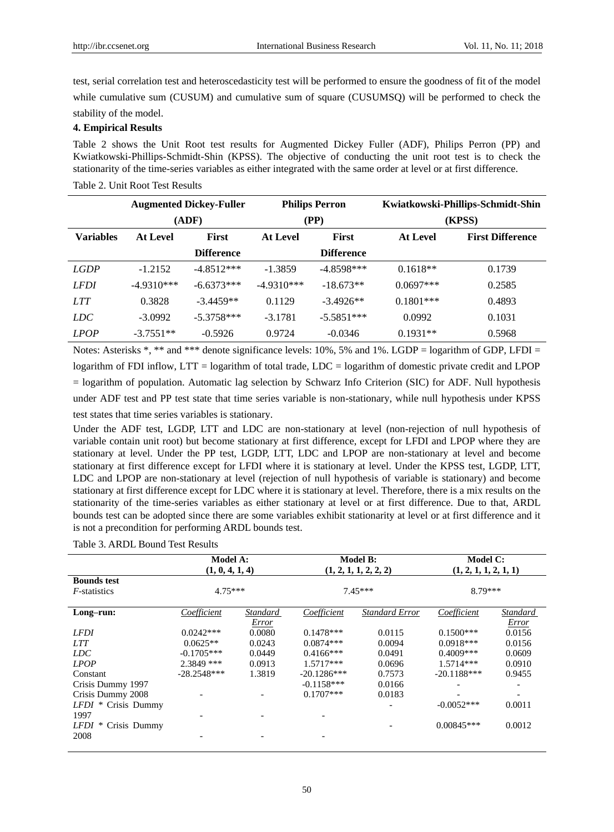test, serial correlation test and heteroscedasticity test will be performed to ensure the goodness of fit of the model while cumulative sum (CUSUM) and cumulative sum of square (CUSUMSQ) will be performed to check the stability of the model.

## **4. Empirical Results**

Table 2 shows the Unit Root test results for Augmented Dickey Fuller (ADF), Philips Perron (PP) and Kwiatkowski-Phillips-Schmidt-Shin (KPSS). The objective of conducting the unit root test is to check the stationarity of the time-series variables as either integrated with the same order at level or at first difference.

|                  | <b>Augmented Dickey-Fuller</b> |                   | <b>Philips Perron</b>           |                   | Kwiatkowski-Phillips-Schmidt-Shin |                         |  |
|------------------|--------------------------------|-------------------|---------------------------------|-------------------|-----------------------------------|-------------------------|--|
|                  | (ADF)                          |                   | (PP)                            |                   | (KPSS)                            |                         |  |
| <b>Variables</b> | <b>At Level</b>                | <b>First</b>      | <b>First</b><br><b>At Level</b> |                   | <b>At Level</b>                   | <b>First Difference</b> |  |
|                  |                                | <b>Difference</b> |                                 | <b>Difference</b> |                                   |                         |  |
| <b>LGDP</b>      | $-1.2152$                      | $-4.8512***$      | $-1.3859$                       | $-4.8598***$      | $0.1618**$                        | 0.1739                  |  |
| <b>LFDI</b>      | $-4.9310***$                   | $-6.6373***$      | $-4.9310***$                    | $-18.673**$       | $0.0697***$                       | 0.2585                  |  |
| <b>LTT</b>       | 0.3828                         | $-3.4459**$       | 0.1129                          | $-3.4926**$       | $0.1801$ ***                      | 0.4893                  |  |
| <i>LDC</i>       | $-3.0992$                      | $-5.3758***$      | $-3.1781$                       | $-5.5851***$      | 0.0992                            | 0.1031                  |  |
| <b>LPOP</b>      | $-3.7551**$                    | $-0.5926$         | 0.9724                          | $-0.0346$         | $0.1931**$                        | 0.5968                  |  |

Notes: Asterisks  $\ast$ ,  $\ast\ast$  and  $\ast\ast\ast$  denote significance levels: 10%, 5% and 1%. LGDP = logarithm of GDP, LFDI = logarithm of FDI inflow, LTT = logarithm of total trade, LDC = logarithm of domestic private credit and LPOP = logarithm of population. Automatic lag selection by Schwarz Info Criterion (SIC) for ADF. Null hypothesis under ADF test and PP test state that time series variable is non-stationary, while null hypothesis under KPSS test states that time series variables is stationary.

Under the ADF test, LGDP, LTT and LDC are non-stationary at level (non-rejection of null hypothesis of variable contain unit root) but become stationary at first difference, except for LFDI and LPOP where they are stationary at level. Under the PP test, LGDP, LTT, LDC and LPOP are non-stationary at level and become stationary at first difference except for LFDI where it is stationary at level. Under the KPSS test, LGDP, LTT, LDC and LPOP are non-stationary at level (rejection of null hypothesis of variable is stationary) and become stationary at first difference except for LDC where it is stationary at level. Therefore, there is a mix results on the stationarity of the time-series variables as either stationary at level or at first difference. Due to that, ARDL bounds test can be adopted since there are some variables exhibit stationarity at level or at first difference and it is not a precondition for performing ARDL bounds test.

| Table 3. ARDL Bound Test Results |  |  |  |
|----------------------------------|--|--|--|
|----------------------------------|--|--|--|

|                                  | <b>Model A:</b><br>(1, 0, 4, 1, 4) |              | <b>Model B:</b><br>(1, 2, 1, 1, 2, 2, 2) |                       | Model C:<br>(1, 2, 1, 1, 2, 1, 1) |                 |
|----------------------------------|------------------------------------|--------------|------------------------------------------|-----------------------|-----------------------------------|-----------------|
| <b>Bounds test</b>               |                                    |              |                                          |                       |                                   |                 |
| <i>F</i> -statistics             | $4.75***$                          |              | $7.45***$                                |                       | $8.79***$                         |                 |
| Long-run:                        | Coefficient                        | Standard     | Coefficient                              | <b>Standard Error</b> | Coefficient                       | Standard        |
|                                  |                                    | <b>Error</b> |                                          |                       |                                   | Error           |
| <b>LFDI</b>                      | $0.0242***$                        | 0.0080       | $0.1478***$                              | 0.0115                | $0.1500***$                       | 0.0156          |
| <b>LTT</b>                       | $0.0625**$                         | 0.0243       | $0.0874***$                              | 0.0094                | $0.0918***$                       | 0.0156          |
| LDC                              | $-0.1705***$                       | 0.0449       | $0.4166$ ***                             | 0.0491                | $0.4009***$                       | 0.0609          |
| <b>LPOP</b>                      | $2.3849$ ***                       | 0.0913       | $1.5717***$                              | 0.0696                | $1.5714***$                       | 0.0910          |
| Constant                         | $-28.2548***$                      | 1.3819       | $-20.1286***$                            | 0.7573                | $-20.1188$ ***                    | 0.9455          |
| Crisis Dummy 1997                |                                    |              | $-0.1158***$                             | 0.0166                |                                   |                 |
| Crisis Dummy 2008                |                                    |              | $0.1707***$                              | 0.0183                |                                   | $\qquad \qquad$ |
| $LFDI *$ Crisis Dummy            |                                    |              |                                          |                       | $-0.0052***$                      | 0.0011          |
| 1997                             |                                    |              |                                          |                       |                                   |                 |
| <i>LFDI</i><br>Crisis Dummy<br>* |                                    |              |                                          |                       | $0.00845***$                      | 0.0012          |
| 2008                             |                                    |              |                                          |                       |                                   |                 |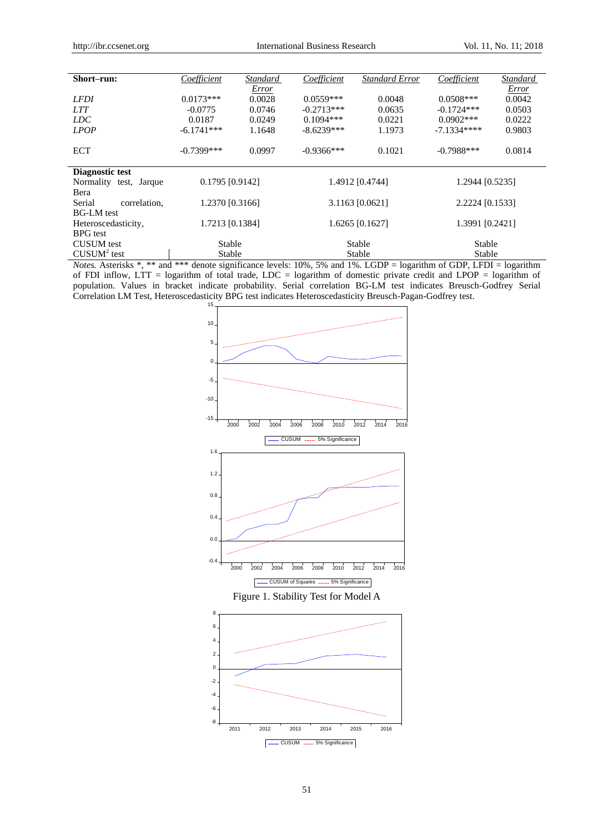| Short–run:              | Coefficient     | Standard                           | Coefficient     | <b>Standard Error</b> | Coefficient     | Standard |
|-------------------------|-----------------|------------------------------------|-----------------|-----------------------|-----------------|----------|
|                         |                 | <b>Error</b>                       |                 |                       |                 | Error    |
| <b>LFDI</b>             | $0.0173***$     | 0.0028                             | $0.0559***$     | 0.0048                | $0.0508***$     | 0.0042   |
| <b>LTT</b>              | $-0.0775$       | 0.0746                             | $-0.2713***$    | 0.0635                | $-0.1724***$    | 0.0503   |
| LDC                     | 0.0187          | 0.0249                             | $0.1094***$     | 0.0221                | $0.0902$ ***    | 0.0222   |
| <b>LPOP</b>             | $-6.1741***$    | 1.1648                             | $-8.6239***$    | 1.1973                | $-7.1334***$    | 0.9803   |
|                         |                 |                                    |                 |                       |                 |          |
| <b>ECT</b>              | $-0.7399$ ***   | 0.0997                             | $-0.9366$ ***   | 0.1021                | $-0.7988***$    | 0.0814   |
|                         |                 |                                    |                 |                       |                 |          |
| Diagnostic test         |                 |                                    |                 |                       |                 |          |
| Normality test, Jarque  | 0.1795 [0.9142] |                                    | 1.4912 [0.4744] |                       | 1.2944 [0.5235] |          |
| Bera                    |                 |                                    |                 |                       |                 |          |
| Serial<br>correlation,  |                 | 3.1163 [0.0621]<br>1.2370 [0.3166] |                 |                       | 2.2224 [0.1533] |          |
| <b>BG-LM</b> test       |                 |                                    |                 |                       |                 |          |
| Heteroscedasticity,     | 1.7213 [0.1384] |                                    |                 | 1.6265 [0.1627]       | 1.3991 [0.2421] |          |
| <b>BPG</b> test         |                 |                                    |                 |                       |                 |          |
| <b>CUSUM</b> test       | Stable          |                                    |                 | Stable                | Stable          |          |
| CUSUM <sup>2</sup> test | Stable          |                                    |                 | Stable                | Stable          |          |

*Notes.* Asterisks \*, \*\* and \*\*\* denote significance levels: 10%, 5% and 1%. LGDP = logarithm of GDP, LFDI = logarithm of FDI inflow, LTT = logarithm of total trade, LDC = logarithm of domestic private credit and LPOP = logarithm of population. Values in bracket indicate probability. Serial correlation BG-LM test indicates Breusch-Godfrey Serial Correlation LM Test, Heteroscedasticity BPG test indicates Heteroscedasticity Breusch-Pagan-Godfrey test.

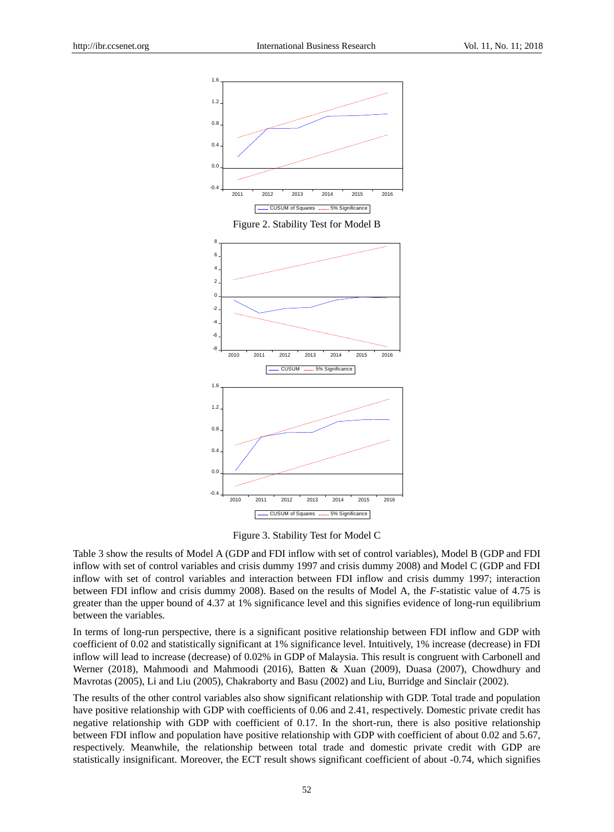

Figure 3. Stability Test for Model C

Table 3 show the results of Model A (GDP and FDI inflow with set of control variables), Model B (GDP and FDI inflow with set of control variables and crisis dummy 1997 and crisis dummy 2008) and Model C (GDP and FDI inflow with set of control variables and interaction between FDI inflow and crisis dummy 1997; interaction between FDI inflow and crisis dummy 2008). Based on the results of Model A, the *F*-statistic value of 4.75 is greater than the upper bound of 4.37 at 1% significance level and this signifies evidence of long-run equilibrium between the variables.

In terms of long-run perspective, there is a significant positive relationship between FDI inflow and GDP with coefficient of 0.02 and statistically significant at 1% significance level. Intuitively, 1% increase (decrease) in FDI inflow will lead to increase (decrease) of 0.02% in GDP of Malaysia. This result is congruent with Carbonell and Werner (2018), Mahmoodi and Mahmoodi (2016), Batten & Xuan (2009), Duasa (2007), Chowdhury and Mavrotas (2005), Li and Liu (2005), Chakraborty and Basu (2002) and Liu, Burridge and Sinclair (2002).

The results of the other control variables also show significant relationship with GDP. Total trade and population have positive relationship with GDP with coefficients of 0.06 and 2.41, respectively. Domestic private credit has negative relationship with GDP with coefficient of 0.17. In the short-run, there is also positive relationship between FDI inflow and population have positive relationship with GDP with coefficient of about 0.02 and 5.67, respectively. Meanwhile, the relationship between total trade and domestic private credit with GDP are statistically insignificant. Moreover, the ECT result shows significant coefficient of about -0.74, which signifies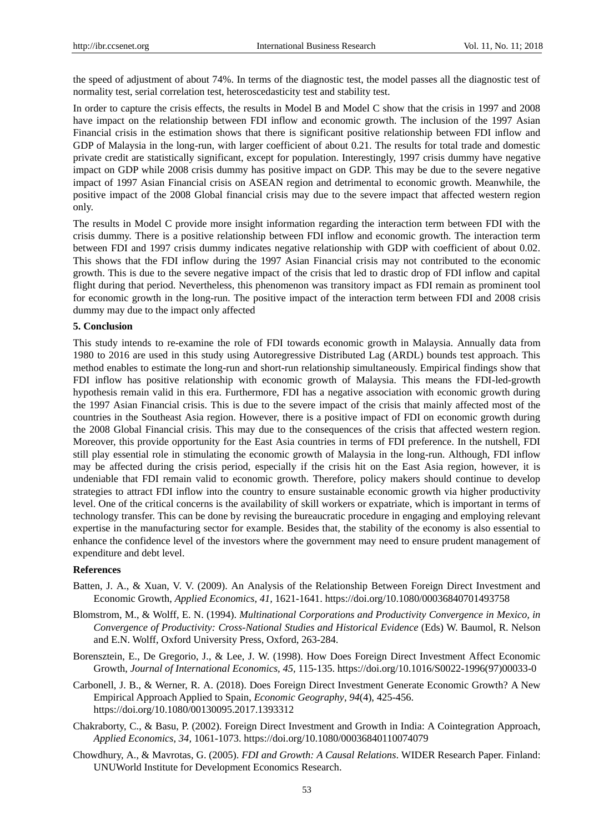the speed of adjustment of about 74%. In terms of the diagnostic test, the model passes all the diagnostic test of normality test, serial correlation test, heteroscedasticity test and stability test.

In order to capture the crisis effects, the results in Model B and Model C show that the crisis in 1997 and 2008 have impact on the relationship between FDI inflow and economic growth. The inclusion of the 1997 Asian Financial crisis in the estimation shows that there is significant positive relationship between FDI inflow and GDP of Malaysia in the long-run, with larger coefficient of about 0.21. The results for total trade and domestic private credit are statistically significant, except for population. Interestingly, 1997 crisis dummy have negative impact on GDP while 2008 crisis dummy has positive impact on GDP. This may be due to the severe negative impact of 1997 Asian Financial crisis on ASEAN region and detrimental to economic growth. Meanwhile, the positive impact of the 2008 Global financial crisis may due to the severe impact that affected western region only.

The results in Model C provide more insight information regarding the interaction term between FDI with the crisis dummy. There is a positive relationship between FDI inflow and economic growth. The interaction term between FDI and 1997 crisis dummy indicates negative relationship with GDP with coefficient of about 0.02. This shows that the FDI inflow during the 1997 Asian Financial crisis may not contributed to the economic growth. This is due to the severe negative impact of the crisis that led to drastic drop of FDI inflow and capital flight during that period. Nevertheless, this phenomenon was transitory impact as FDI remain as prominent tool for economic growth in the long-run. The positive impact of the interaction term between FDI and 2008 crisis dummy may due to the impact only affected

## **5. Conclusion**

This study intends to re-examine the role of FDI towards economic growth in Malaysia. Annually data from 1980 to 2016 are used in this study using Autoregressive Distributed Lag (ARDL) bounds test approach. This method enables to estimate the long-run and short-run relationship simultaneously. Empirical findings show that FDI inflow has positive relationship with economic growth of Malaysia. This means the FDI-led-growth hypothesis remain valid in this era. Furthermore, FDI has a negative association with economic growth during the 1997 Asian Financial crisis. This is due to the severe impact of the crisis that mainly affected most of the countries in the Southeast Asia region. However, there is a positive impact of FDI on economic growth during the 2008 Global Financial crisis. This may due to the consequences of the crisis that affected western region. Moreover, this provide opportunity for the East Asia countries in terms of FDI preference. In the nutshell, FDI still play essential role in stimulating the economic growth of Malaysia in the long-run. Although, FDI inflow may be affected during the crisis period, especially if the crisis hit on the East Asia region, however, it is undeniable that FDI remain valid to economic growth. Therefore, policy makers should continue to develop strategies to attract FDI inflow into the country to ensure sustainable economic growth via higher productivity level. One of the critical concerns is the availability of skill workers or expatriate, which is important in terms of technology transfer. This can be done by revising the bureaucratic procedure in engaging and employing relevant expertise in the manufacturing sector for example. Besides that, the stability of the economy is also essential to enhance the confidence level of the investors where the government may need to ensure prudent management of expenditure and debt level.

### **References**

- Batten, J. A., & Xuan, V. V. (2009). An Analysis of the Relationship Between Foreign Direct Investment and Economic Growth, *Applied Economics*, *41,* 1621-1641.<https://doi.org/10.1080/00036840701493758>
- Blomstrom, M., & Wolff, E. N. (1994). *Multinational Corporations and Productivity Convergence in Mexico, in Convergence of Productivity: Cross-National Studies and Historical Evidence* (Eds) W. Baumol, R. Nelson and E.N. Wolff, Oxford University Press, Oxford, 263-284.
- Borensztein, E., De Gregorio, J., & Lee, J. W. (1998). How Does Foreign Direct Investment Affect Economic Growth, *Journal of International Economics, 45,* 115-135[. https://doi.org/10.1016/S0022-1996\(97\)00033-0](https://doi.org/10.1016/S0022-1996(97)00033-0)
- Carbonell, J. B., & Werner, R. A. (2018). Does Foreign Direct Investment Generate Economic Growth? A New Empirical Approach Applied to Spain, *Economic Geography*, *94*(4), 425-456. <https://doi.org/10.1080/00130095.2017.1393312>
- Chakraborty, C., & Basu, P. (2002). Foreign Direct Investment and Growth in India: A Cointegration Approach, *Applied Economics*, *34,* 1061-1073[. https://doi.org/10.1080/00036840110074079](https://doi.org/10.1080/00036840110074079)
- Chowdhury, A., & Mavrotas, G. (2005). *FDI and Growth: A Causal Relations*. WIDER Research Paper. Finland: UNUWorld Institute for Development Economics Research.